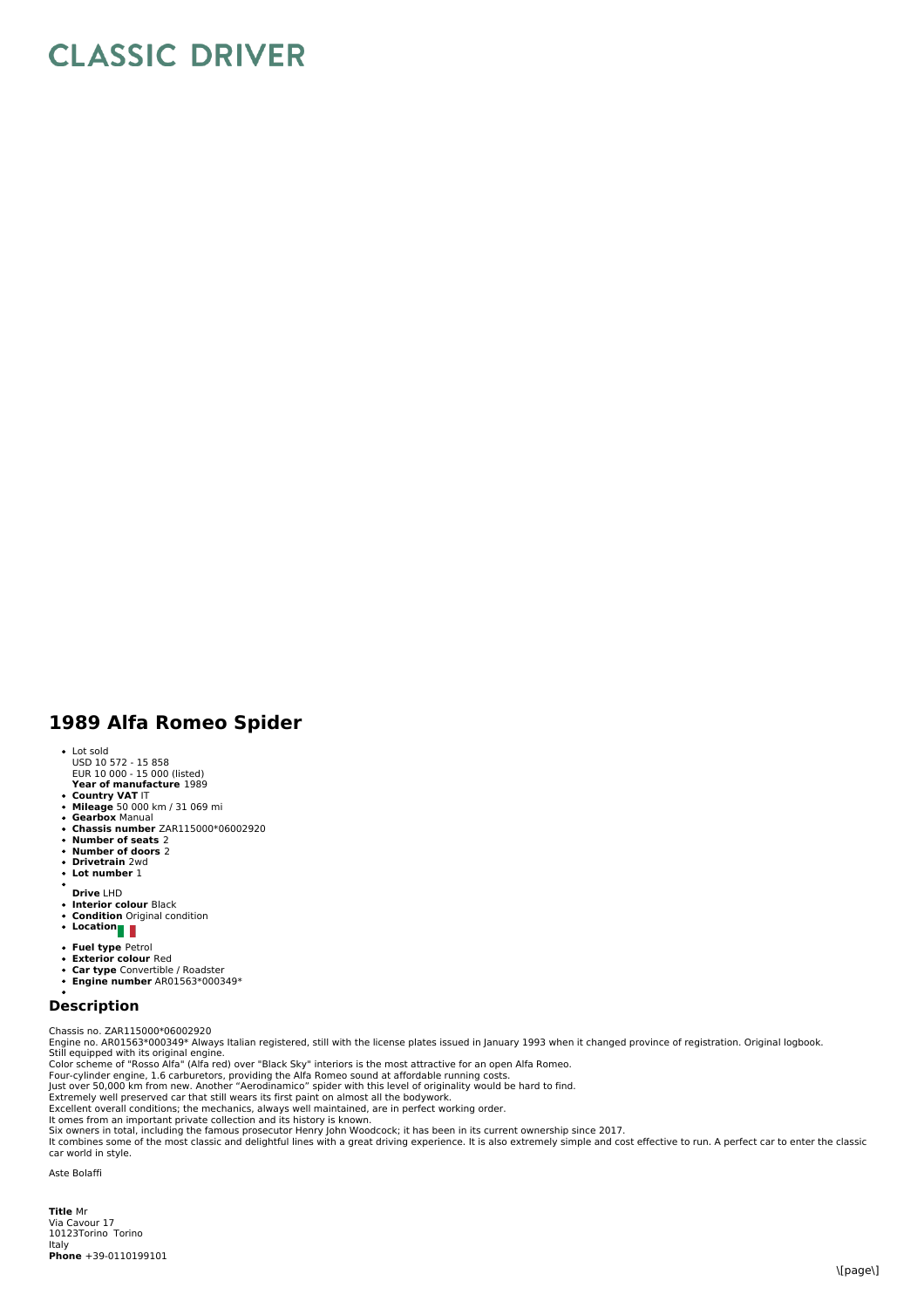## **CLASSIC DRIVER**

## **1989 Alfa Romeo Spider**

- Lot sold
- USD 10 572 15 858 EUR 10 000 15 000 (listed)
- **Year of manufacture** 1989
- 
- **Country VAT** IT **Mileage** 50 000 km / 31 069 mi **Gearbox** Manual  $\bullet$
- **Chassis number** ZAR115000\*06002920
- $\ddot{\phantom{a}}$
- **Number of seats** 2 **Number of doors** 2  $\bullet$  $\ddot{\phantom{0}}$
- **Drivetrain** 2wd **Lot number** 1
- 
- **Drive** LHD
- $\ddot{\phantom{0}}$
- **Interior colour** Black **Condition** Original condition  $\ddot{\phantom{0}}$
- **Location**
- 
- **Fuel type** Petrol **Exterior colour** Red
- **Car type** Convertible / Roadster **Engine number** AR01563\*000349\*
- 

## **Description**

Chassis no. ZAR115000\*06002920<br>Engine no. AR01563\*000349\* Always Italian registered, still with the license plates issued in January 1993 when it changed province of registration. Original logbook.<br>Etill equipped with its

Six owners in total, including the famous prosecutor Henry John Woodcock; it has been in its current ownership since 2017.<br>It combines some of the most classic and delightful lines with a great driving experience. It is al car world in style.

Aste Bolaffi

**Title** Mr ltaly<br>**Phone** +39-0110199101 Via Cavour 17 10123Torino Torino